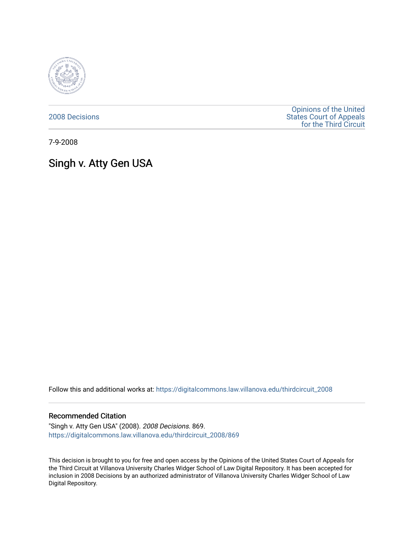

[2008 Decisions](https://digitalcommons.law.villanova.edu/thirdcircuit_2008)

[Opinions of the United](https://digitalcommons.law.villanova.edu/thirdcircuit)  [States Court of Appeals](https://digitalcommons.law.villanova.edu/thirdcircuit)  [for the Third Circuit](https://digitalcommons.law.villanova.edu/thirdcircuit) 

7-9-2008

# Singh v. Atty Gen USA

Follow this and additional works at: [https://digitalcommons.law.villanova.edu/thirdcircuit\\_2008](https://digitalcommons.law.villanova.edu/thirdcircuit_2008?utm_source=digitalcommons.law.villanova.edu%2Fthirdcircuit_2008%2F869&utm_medium=PDF&utm_campaign=PDFCoverPages) 

#### Recommended Citation

"Singh v. Atty Gen USA" (2008). 2008 Decisions. 869. [https://digitalcommons.law.villanova.edu/thirdcircuit\\_2008/869](https://digitalcommons.law.villanova.edu/thirdcircuit_2008/869?utm_source=digitalcommons.law.villanova.edu%2Fthirdcircuit_2008%2F869&utm_medium=PDF&utm_campaign=PDFCoverPages)

This decision is brought to you for free and open access by the Opinions of the United States Court of Appeals for the Third Circuit at Villanova University Charles Widger School of Law Digital Repository. It has been accepted for inclusion in 2008 Decisions by an authorized administrator of Villanova University Charles Widger School of Law Digital Repository.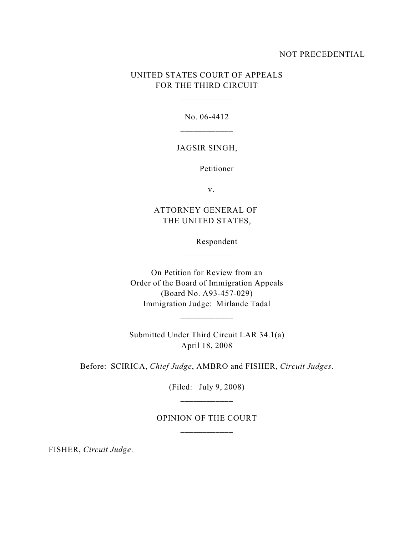## NOT PRECEDENTIAL

# UNITED STATES COURT OF APPEALS FOR THE THIRD CIRCUIT

No. 06-4412

\_\_\_\_\_\_\_\_\_\_\_\_

### JAGSIR SINGH,

Petitioner

v.

ATTORNEY GENERAL OF THE UNITED STATES,

Respondent

On Petition for Review from an Order of the Board of Immigration Appeals (Board No. A93-457-029) Immigration Judge: Mirlande Tadal

\_\_\_\_\_\_\_\_\_\_\_\_

Submitted Under Third Circuit LAR 34.1(a) April 18, 2008

Before: SCIRICA, *Chief Judge*, AMBRO and FISHER, *Circuit Judges*.

(Filed: July 9, 2008) \_\_\_\_\_\_\_\_\_\_\_\_

# OPINION OF THE COURT

FISHER, *Circuit Judge*.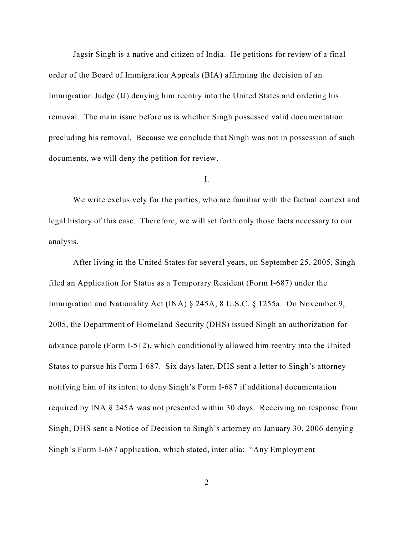Jagsir Singh is a native and citizen of India. He petitions for review of a final order of the Board of Immigration Appeals (BIA) affirming the decision of an Immigration Judge (IJ) denying him reentry into the United States and ordering his removal. The main issue before us is whether Singh possessed valid documentation precluding his removal. Because we conclude that Singh was not in possession of such documents, we will deny the petition for review.

I.

We write exclusively for the parties, who are familiar with the factual context and legal history of this case. Therefore, we will set forth only those facts necessary to our analysis.

After living in the United States for several years, on September 25, 2005, Singh filed an Application for Status as a Temporary Resident (Form I-687) under the Immigration and Nationality Act (INA) § 245A, 8 U.S.C. § 1255a. On November 9, 2005, the Department of Homeland Security (DHS) issued Singh an authorization for advance parole (Form I-512), which conditionally allowed him reentry into the United States to pursue his Form I-687. Six days later, DHS sent a letter to Singh's attorney notifying him of its intent to deny Singh's Form I-687 if additional documentation required by INA § 245A was not presented within 30 days. Receiving no response from Singh, DHS sent a Notice of Decision to Singh's attorney on January 30, 2006 denying Singh's Form I-687 application, which stated, inter alia: "Any Employment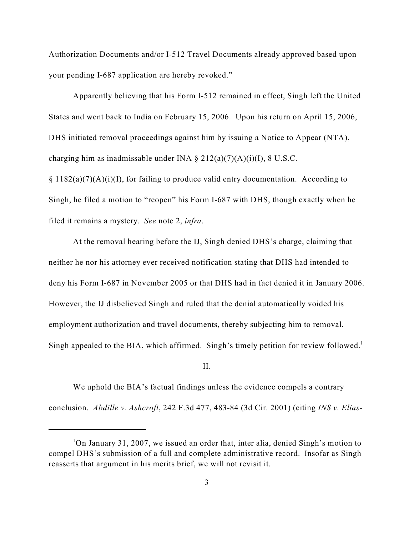Authorization Documents and/or I-512 Travel Documents already approved based upon your pending I-687 application are hereby revoked."

Apparently believing that his Form I-512 remained in effect, Singh left the United States and went back to India on February 15, 2006. Upon his return on April 15, 2006, DHS initiated removal proceedings against him by issuing a Notice to Appear (NTA), charging him as inadmissable under INA  $\S 212(a)(7)(A)(i)(I)$ , 8 U.S.C.

 $§ 1182(a)(7)(A)(i)(I)$ , for failing to produce valid entry documentation. According to Singh, he filed a motion to "reopen" his Form I-687 with DHS, though exactly when he filed it remains a mystery. *See* note 2, *infra*.

At the removal hearing before the IJ, Singh denied DHS's charge, claiming that neither he nor his attorney ever received notification stating that DHS had intended to deny his Form I-687 in November 2005 or that DHS had in fact denied it in January 2006. However, the IJ disbelieved Singh and ruled that the denial automatically voided his employment authorization and travel documents, thereby subjecting him to removal. Singh appealed to the BIA, which affirmed. Singh's timely petition for review followed.<sup>1</sup>

#### II.

We uphold the BIA's factual findings unless the evidence compels a contrary conclusion. *Abdille v. Ashcroft*, 242 F.3d 477, 483-84 (3d Cir. 2001) (citing *INS v. Elias-*

<sup>&</sup>lt;sup>1</sup>On January 31, 2007, we issued an order that, inter alia, denied Singh's motion to compel DHS's submission of a full and complete administrative record. Insofar as Singh reasserts that argument in his merits brief, we will not revisit it.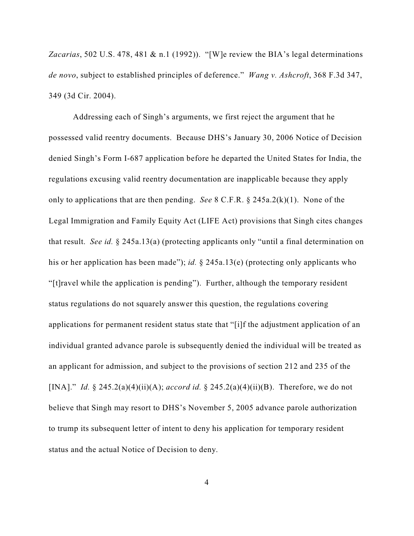*Zacarias*, 502 U.S. 478, 481 & n.1 (1992)). "[W]e review the BIA's legal determinations *de novo*, subject to established principles of deference." *Wang v. Ashcroft*, 368 F.3d 347, 349 (3d Cir. 2004).

Addressing each of Singh's arguments, we first reject the argument that he possessed valid reentry documents. Because DHS's January 30, 2006 Notice of Decision denied Singh's Form I-687 application before he departed the United States for India, the regulations excusing valid reentry documentation are inapplicable because they apply only to applications that are then pending. *See* 8 C.F.R. § 245a.2(k)(1). None of the Legal Immigration and Family Equity Act (LIFE Act) provisions that Singh cites changes that result. *See id.* § 245a.13(a) (protecting applicants only "until a final determination on his or her application has been made"); *id.* § 245a.13(e) (protecting only applicants who "[t]ravel while the application is pending"). Further, although the temporary resident status regulations do not squarely answer this question, the regulations covering applications for permanent resident status state that "[i]f the adjustment application of an individual granted advance parole is subsequently denied the individual will be treated as an applicant for admission, and subject to the provisions of section 212 and 235 of the [INA]." *Id.* § 245.2(a)(4)(ii)(A); *accord id.* § 245.2(a)(4)(ii)(B). Therefore, we do not believe that Singh may resort to DHS's November 5, 2005 advance parole authorization to trump its subsequent letter of intent to deny his application for temporary resident status and the actual Notice of Decision to deny.

4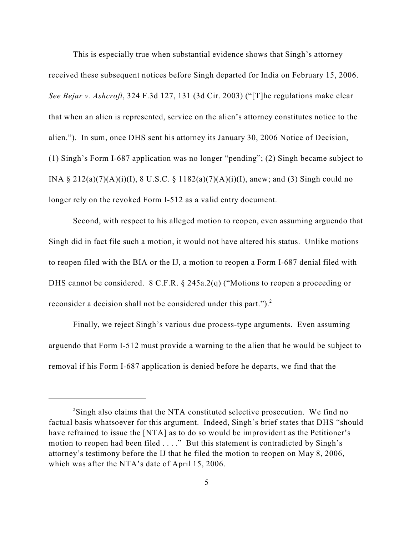This is especially true when substantial evidence shows that Singh's attorney received these subsequent notices before Singh departed for India on February 15, 2006. *See Bejar v. Ashcroft*, 324 F.3d 127, 131 (3d Cir. 2003) ("[T]he regulations make clear that when an alien is represented, service on the alien's attorney constitutes notice to the alien."). In sum, once DHS sent his attorney its January 30, 2006 Notice of Decision, (1) Singh's Form I-687 application was no longer "pending"; (2) Singh became subject to INA § 212(a)(7)(A)(i)(I), 8 U.S.C. § 1182(a)(7)(A)(i)(I), anew; and (3) Singh could no longer rely on the revoked Form I-512 as a valid entry document.

Second, with respect to his alleged motion to reopen, even assuming arguendo that Singh did in fact file such a motion, it would not have altered his status. Unlike motions to reopen filed with the BIA or the IJ, a motion to reopen a Form I-687 denial filed with DHS cannot be considered. 8 C.F.R. § 245a.2(q) ("Motions to reopen a proceeding or reconsider a decision shall not be considered under this part.").<sup>2</sup>

Finally, we reject Singh's various due process-type arguments. Even assuming arguendo that Form I-512 must provide a warning to the alien that he would be subject to removal if his Form I-687 application is denied before he departs, we find that the

<sup>&</sup>lt;sup>2</sup>Singh also claims that the NTA constituted selective prosecution. We find no factual basis whatsoever for this argument. Indeed, Singh's brief states that DHS "should have refrained to issue the [NTA] as to do so would be improvident as the Petitioner's motion to reopen had been filed . . . ." But this statement is contradicted by Singh's attorney's testimony before the IJ that he filed the motion to reopen on May 8, 2006, which was after the NTA's date of April 15, 2006.